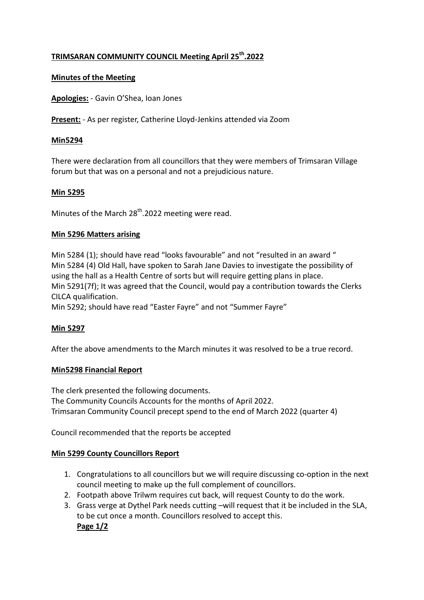# **TRIMSARAN COMMUNITY COUNCIL Meeting April 25th.2022**

### **Minutes of the Meeting**

**Apologies:** - Gavin O'Shea, Ioan Jones

**Present:** - As per register, Catherine Lloyd-Jenkins attended via Zoom

#### **Min5294**

There were declaration from all councillors that they were members of Trimsaran Village forum but that was on a personal and not a prejudicious nature.

### **Min 5295**

Minutes of the March  $28<sup>th</sup>$ .2022 meeting were read.

### **Min 5296 Matters arising**

Min 5284 (1); should have read "looks favourable" and not "resulted in an award " Min 5284 (4) Old Hall, have spoken to Sarah Jane Davies to investigate the possibility of using the hall as a Health Centre of sorts but will require getting plans in place. Min 5291(7f); It was agreed that the Council, would pay a contribution towards the Clerks CILCA qualification. Min 5292; should have read "Easter Fayre" and not "Summer Fayre"

#### **Min 5297**

After the above amendments to the March minutes it was resolved to be a true record.

#### **Min5298 Financial Report**

The clerk presented the following documents. The Community Councils Accounts for the months of April 2022. Trimsaran Community Council precept spend to the end of March 2022 (quarter 4)

Council recommended that the reports be accepted

## **Min 5299 County Councillors Report**

- 1. Congratulations to all councillors but we will require discussing co-option in the next council meeting to make up the full complement of councillors.
- 2. Footpath above Trilwm requires cut back, will request County to do the work.
- 3. Grass verge at Dythel Park needs cutting –will request that it be included in the SLA, to be cut once a month. Councillors resolved to accept this. **Page 1/2**